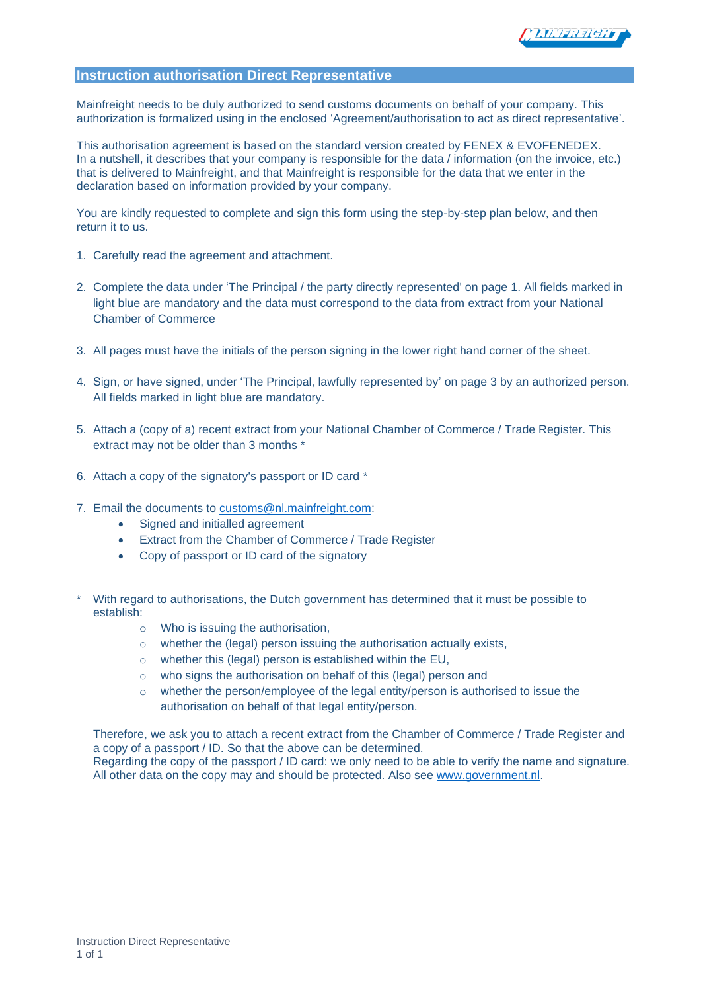

## **Instruction authorisation Direct Representative**

Mainfreight needs to be duly authorized to send customs documents on behalf of your company. This authorization is formalized using in the enclosed 'Agreement/authorisation to act as direct representative'.

This authorisation agreement is based on the standard version created by FENEX & EVOFENEDEX. In a nutshell, it describes that your company is responsible for the data / information (on the invoice, etc.) that is delivered to Mainfreight, and that Mainfreight is responsible for the data that we enter in the declaration based on information provided by your company.

You are kindly requested to complete and sign this form using the step-by-step plan below, and then return it to us.

- 1. Carefully read the agreement and attachment.
- 2. Complete the data under 'The Principal / the party directly represented' on page 1. All fields marked in light blue are mandatory and the data must correspond to the data from extract from your National Chamber of Commerce
- 3. All pages must have the initials of the person signing in the lower right hand corner of the sheet.
- 4. Sign, or have signed, under 'The Principal, lawfully represented by' on page 3 by an authorized person. All fields marked in light blue are mandatory.
- 5. Attach a (copy of a) recent extract from your National Chamber of Commerce / Trade Register. This extract may not be older than 3 months \*
- 6. Attach a copy of the signatory's passport or ID card \*
- 7. Email the documents to customs@nl.mainfreight.com:
	- Signed and initialled agreement
	- Extract from the Chamber of Commerce / Trade Register
	- Copy of passport or ID card of the signatory
- With regard to authorisations, the Dutch government has determined that it must be possible to establish:
	- o Who is issuing the authorisation,
	- o whether the (legal) person issuing the authorisation actually exists,
	- o whether this (legal) person is established within the EU,
	- o who signs the authorisation on behalf of this (legal) person and
	- o whether the person/employee of the legal entity/person is authorised to issue the authorisation on behalf of that legal entity/person.

Therefore, we ask you to attach a recent extract from the Chamber of Commerce / Trade Register and a copy of a passport / ID. So that the above can be determined.

Regarding the copy of the passport / ID card: we only need to be able to verify the name and signature. All other data on the copy may and should be protected. Also see [www.government.nl.](https://www.government.nl/)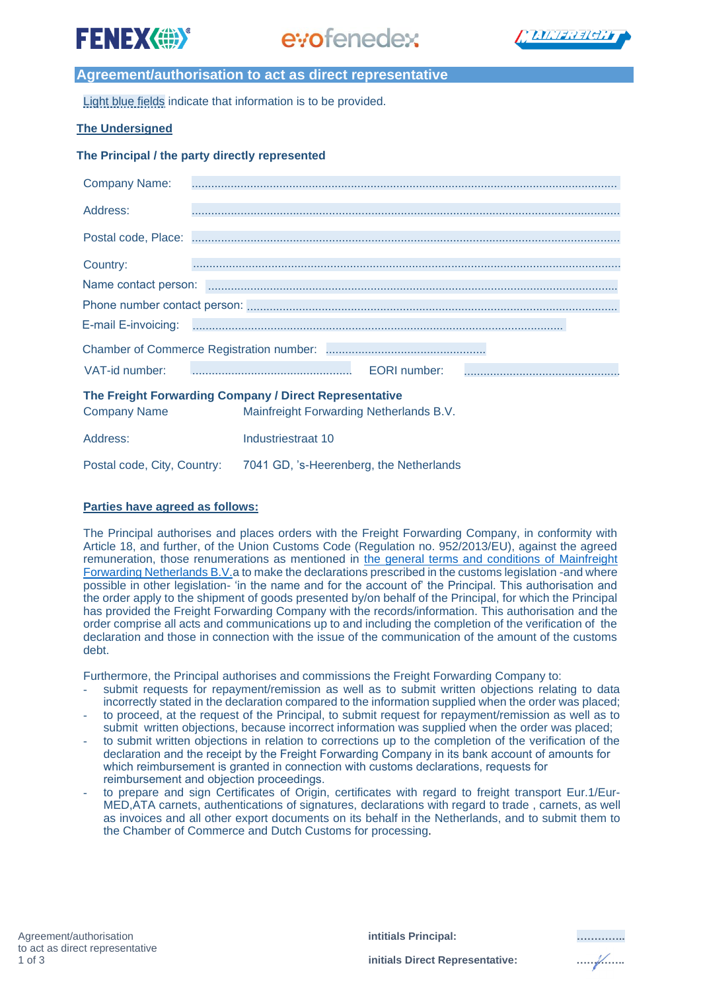



# **Agreement/authorisation to act as direct representative**

Light blue fields indicate that information is to be provided.

## **The Undersigned**

## **The Principal / the party directly represented**

| <b>Company Name:</b>                                                                                                     |                                                                                                                |  |  |  |
|--------------------------------------------------------------------------------------------------------------------------|----------------------------------------------------------------------------------------------------------------|--|--|--|
| Address:                                                                                                                 |                                                                                                                |  |  |  |
|                                                                                                                          |                                                                                                                |  |  |  |
| Country:                                                                                                                 |                                                                                                                |  |  |  |
|                                                                                                                          | Name contact person: www.communication.com/www.communication.com/www.communication.com/www.com/www.com/www.com |  |  |  |
|                                                                                                                          |                                                                                                                |  |  |  |
|                                                                                                                          |                                                                                                                |  |  |  |
|                                                                                                                          |                                                                                                                |  |  |  |
| VAT-id number:                                                                                                           | EORI number:                                                                                                   |  |  |  |
| The Freight Forwarding Company / Direct Representative<br><b>Company Name</b><br>Mainfreight Forwarding Netherlands B.V. |                                                                                                                |  |  |  |
| Address:                                                                                                                 | Industriestraat 10                                                                                             |  |  |  |
|                                                                                                                          | Postal code, City, Country: 7041 GD, 's-Heerenberg, the Netherlands                                            |  |  |  |

## **Parties have agreed as follows:**

The Principal authorises and places orders with the Freight Forwarding Company, in conformity with Article 18, and further, of the Union Customs Code (Regulation no. 952/2013/EU), against the agreed remuneration, those renumerations as mentioned in the general terms and conditions of Mainfreight [Forwarding Netherlands B.V.a](https://www.mainfreight.com/the-netherlands/en-nz/terms-and-conditions) to make the declarations prescribed in the customs legislation -and where possible in other legislation- 'in the name and for the account of' the Principal. This authorisation and the order apply to the shipment of goods presented by/on behalf of the Principal, for which the Principal has provided the Freight Forwarding Company with the records/information. This authorisation and the order comprise all acts and communications up to and including the completion of the verification of the declaration and those in connection with the issue of the communication of the amount of the customs debt.

Furthermore, the Principal authorises and commissions the Freight Forwarding Company to:

- submit requests for repayment/remission as well as to submit written objections relating to data incorrectly stated in the declaration compared to the information supplied when the order was placed; to proceed, at the request of the Principal, to submit request for repayment/remission as well as to
- submit written objections, because incorrect information was supplied when the order was placed;
- to submit written objections in relation to corrections up to the completion of the verification of the declaration and the receipt by the Freight Forwarding Company in its bank account of amounts for which reimbursement is granted in connection with customs declarations, requests for reimbursement and objection proceedings.
- to prepare and sign Certificates of Origin, certificates with regard to freight transport Eur.1/Eur-MED,ATA carnets, authentications of signatures, declarations with regard to trade , carnets, as well as invoices and all other export documents on its behalf in the Netherlands, and to submit them to the Chamber of Commerce and Dutch Customs for processing.



initials Direct Representative: **with 3 and 1999**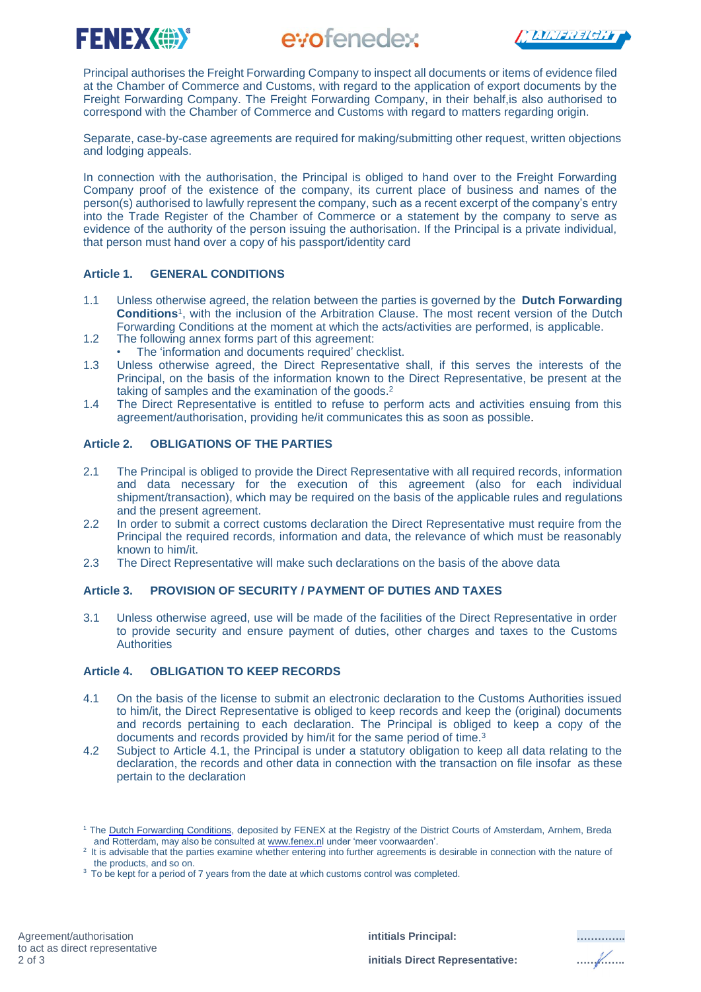

evofenedex



Principal authorises the Freight Forwarding Company to inspect all documents or items of evidence filed at the Chamber of Commerce and Customs, with regard to the application of export documents by the Freight Forwarding Company. The Freight Forwarding Company, in their behalf,is also authorised to correspond with the Chamber of Commerce and Customs with regard to matters regarding origin.

Separate, case-by-case agreements are required for making/submitting other request, written objections and lodging appeals.

In connection with the authorisation, the Principal is obliged to hand over to the Freight Forwarding Company proof of the existence of the company, its current place of business and names of the person(s) authorised to lawfully represent the company, such as a recent excerpt of the company's entry into the Trade Register of the Chamber of Commerce or a statement by the company to serve as evidence of the authority of the person issuing the authorisation. If the Principal is a private individual, that person must hand over a copy of his passport/identity card

#### **Article 1. GENERAL CONDITIONS**

- 1.1 Unless otherwise agreed, the relation between the parties is governed by the **Dutch [Forwarding](https://www.fenex.nl/app/uploads/2020/10/NEDERLANDSE-EXPEDITIEVOORWAARDEN-NL-logo.pdf) [Conditions](https://www.fenex.nl/app/uploads/2020/10/NEDERLANDSE-EXPEDITIEVOORWAARDEN-NL-logo.pdf)**<sup>1</sup> , with the inclusion of the Arbitration Clause. The most recent version of the Dutch Forwarding Conditions at the moment at which the acts/activities are performed, is applicable.
- 1.2 The following annex forms part of this agreement: The 'information and documents required' checklist.
- 1.3 Unless otherwise agreed, the Direct Representative shall, if this serves the interests of the Principal, on the basis of the information known to the Direct Representative, be present at the taking of samples and the examination of the goods.<sup>2</sup>
- 1.4 The Direct Representative is entitled to refuse to perform acts and activities ensuing from this agreement/authorisation, providing he/it communicates this as soon as possible.

## **Article 2. OBLIGATIONS OF THE PARTIES**

- 2.1 The Principal is obliged to provide the Direct Representative with all required records, information and data necessary for the execution of this agreement (also for each individual shipment/transaction), which may be required on the basis of the applicable rules and regulations and the present agreement.
- 2.2 In order to submit a correct customs declaration the Direct Representative must require from the Principal the required records, information and data, the relevance of which must be reasonably known to him/it.
- 2.3 The Direct Representative will make such declarations on the basis of the above data

#### **Article 3. PROVISION OF SECURITY / PAYMENT OF DUTIES AND TAXES**

3.1 Unless otherwise agreed, use will be made of the facilities of the Direct Representative in order to provide security and ensure payment of duties, other charges and taxes to the Customs **Authorities** 

#### **Article 4. OBLIGATION TO KEEP RECORDS**

- 4.1 On the basis of the license to submit an electronic declaration to the Customs Authorities issued to him/it, the Direct Representative is obliged to keep records and keep the (original) documents and records pertaining to each declaration. The Principal is obliged to keep a copy of the documents and records provided by him/it for the same period of time.<sup>3</sup>
- 4.2 Subject to Article 4.1, the Principal is under a statutory obligation to keep all data relating to the declaration, the records and other data in connection with the transaction on file insofar as these pertain to the declaration



<sup>&</sup>lt;sup>1</sup> The Dutch [Forwarding](https://www.fenex.nl/app/uploads/2020/10/NEDERLANDSE-EXPEDITIEVOORWAARDEN-NL-logo.pdf) Conditions, deposited by FENEX at the Registry of the District Courts of Amsterdam, Arnhem, Breda and Rotterdam, may also be consulted at www.fenex.nl under 'meer voorwaarden'.

<sup>&</sup>lt;sup>2</sup> It is advisable that the parties examine whether entering into further agreements is desirable in connection with the nature of the products, and so on.

<sup>&</sup>lt;sup>3</sup> To be kept for a period of 7 years from the date at which customs control was completed.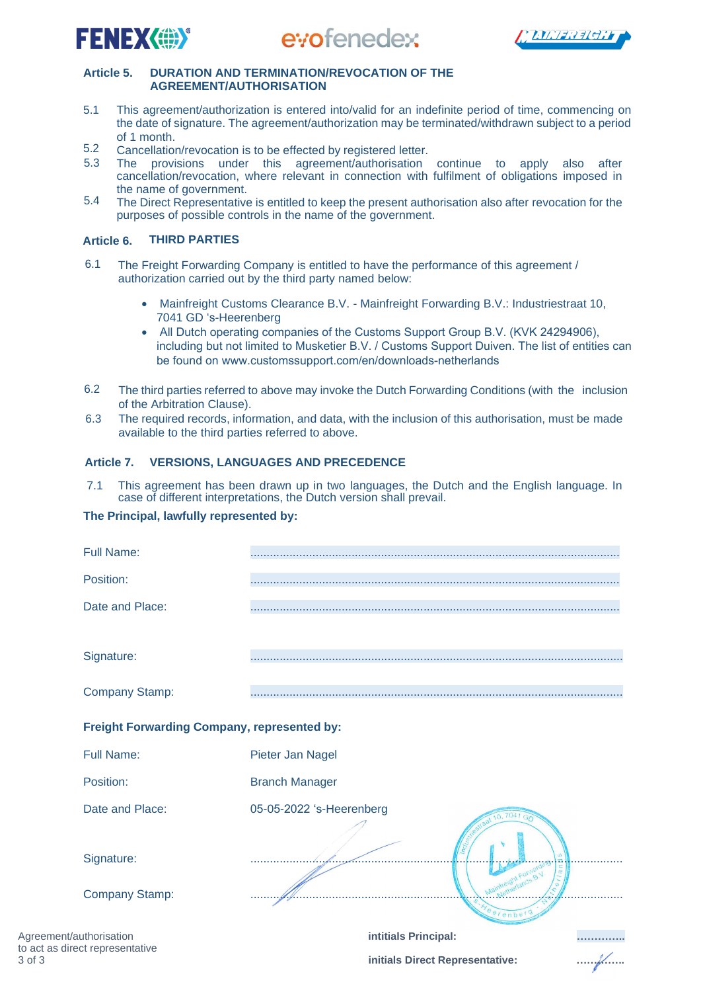

e:*infenedex* 



#### **Article 5. DURATION AND TERMINATION/REVOCATION OF THE AGREEMENT/AUTHORISATION**

- 5.1 This agreement/authorization is entered into/valid for an indefinite period of time, commencing on the date of signature. The agreement/authorization may be terminated/withdrawn subject to a period of 1 month.
- 5.2 Cancellation/revocation is to be effected by registered letter.<br>5.3 The provisions under this agreement/authorisation
- The provisions under this agreement/authorisation continue to apply also after cancellation/revocation, where relevant in connection with fulfilment of obligations imposed in the name of government.
- 5.4 The Direct Representative is entitled to keep the present authorisation also after revocation for the purposes of possible controls in the name of the government.

## **Article 6. THIRD PARTIES**

- 6.1 The Freight Forwarding Company is entitled to have the performance of this agreement / authorization carried out by the third party named below:
	- Mainfreight Customs Clearance B.V. Mainfreight Forwarding B.V.: Industriestraat 10, 7041 GD 's-Heerenberg
	- All Dutch operating companies of the Customs Support Group B.V. (KVK 24294906), including but not limited to Musketier B.V. / Customs Support Duiven. The list of entities can be found on www.customssupport.com/en/downloads-netherlands
- 6.2 The third parties referred to above may invoke the Dutch Forwarding Conditions (with the inclusion of the Arbitration Clause).
- 6.3 The required records, information, and data, with the inclusion of this authorisation, must be made available to the third parties referred to above.

#### **Article 7. VERSIONS, LANGUAGES AND PRECEDENCE**

7.1 This agreement has been drawn up in two languages, the Dutch and the English language. In case of different interpretations, the Dutch version shall prevail.

#### **The Principal, lawfully represented by:**

|                         | <b>Full Name:</b>                                  |                                |  |
|-------------------------|----------------------------------------------------|--------------------------------|--|
|                         | Position:                                          |                                |  |
|                         | Date and Place:                                    |                                |  |
|                         |                                                    |                                |  |
|                         | Signature:                                         |                                |  |
|                         | <b>Company Stamp:</b>                              |                                |  |
|                         | <b>Freight Forwarding Company, represented by:</b> |                                |  |
|                         | <b>Full Name:</b>                                  | Pieter Jan Nagel               |  |
|                         | Position:                                          | <b>Branch Manager</b>          |  |
|                         | Date and Place:                                    | 05-05-2022 's-Heerenberg       |  |
|                         | Signature:                                         |                                |  |
|                         | Company Stamp:                                     |                                |  |
| Agreement/authorisation |                                                    | eerenb<br>intitials Principal: |  |
|                         | to ast as direct representative                    |                                |  |

3 of 3 **initials Direct Representative: …………..**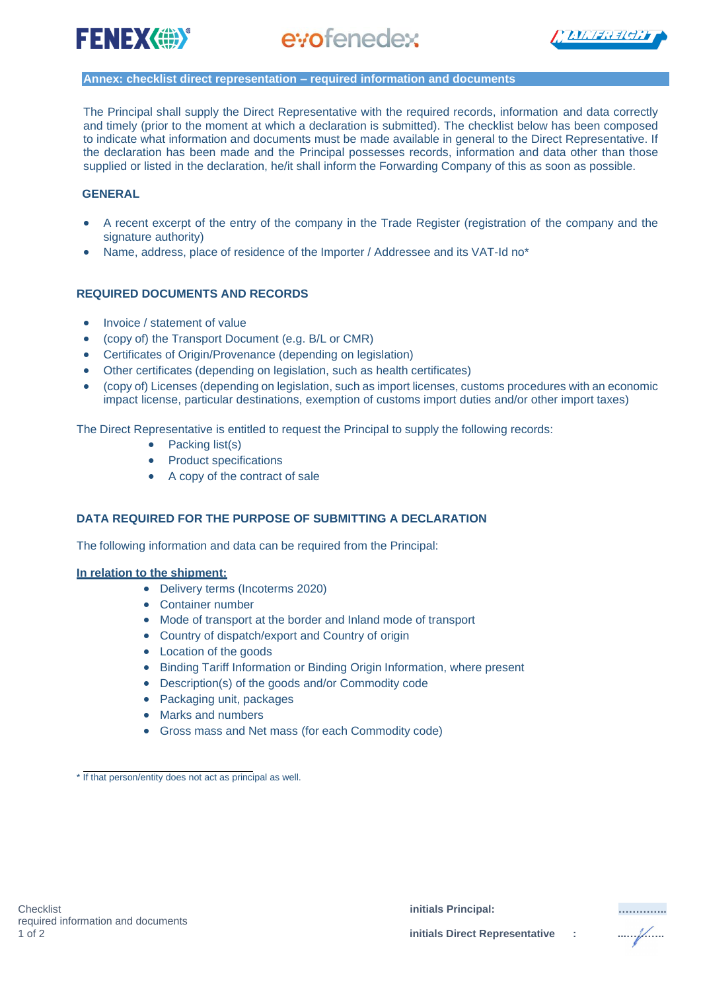



#### **Annex: checklist direct representation – required information and documents**

The Principal shall supply the Direct Representative with the required records, information and data correctly and timely (prior to the moment at which a declaration is submitted). The checklist below has been composed to indicate what information and documents must be made available in general to the Direct Representative. If the declaration has been made and the Principal possesses records, information and data other than those supplied or listed in the declaration, he/it shall inform the Forwarding Company of this as soon as possible.

## **GENERAL**

- A recent excerpt of the entry of the company in the Trade Register (registration of the company and the signature authority)
- Name, address, place of residence of the Importer / Addressee and its VAT-Id no\*

#### **REQUIRED DOCUMENTS AND RECORDS**

- Invoice / statement of value
- (copy of) the Transport Document (e.g. B/L or CMR)
- Certificates of Origin/Provenance (depending on legislation)
- Other certificates (depending on legislation, such as health certificates)
- (copy of) Licenses (depending on legislation, such as import licenses, customs procedures with an economic impact license, particular destinations, exemption of customs import duties and/or other import taxes)

The Direct Representative is entitled to request the Principal to supply the following records:

- Packing list(s)
- Product specifications
- A copy of the contract of sale

#### **DATA REQUIRED FOR THE PURPOSE OF SUBMITTING A DECLARATION**

The following information and data can be required from the Principal:

#### **In relation to the shipment:**

- Delivery terms (Incoterms 2020)
- Container number
- Mode of transport at the border and Inland mode of transport
- Country of dispatch/export and Country of origin
- Location of the goods
- Binding Tariff Information or Binding Origin Information, where present
- Description(s) of the goods and/or Commodity code
- Packaging unit, packages
- Marks and numbers
- Gross mass and Net mass (for each Commodity code)

\* If that person/entity does not act as principal as well.